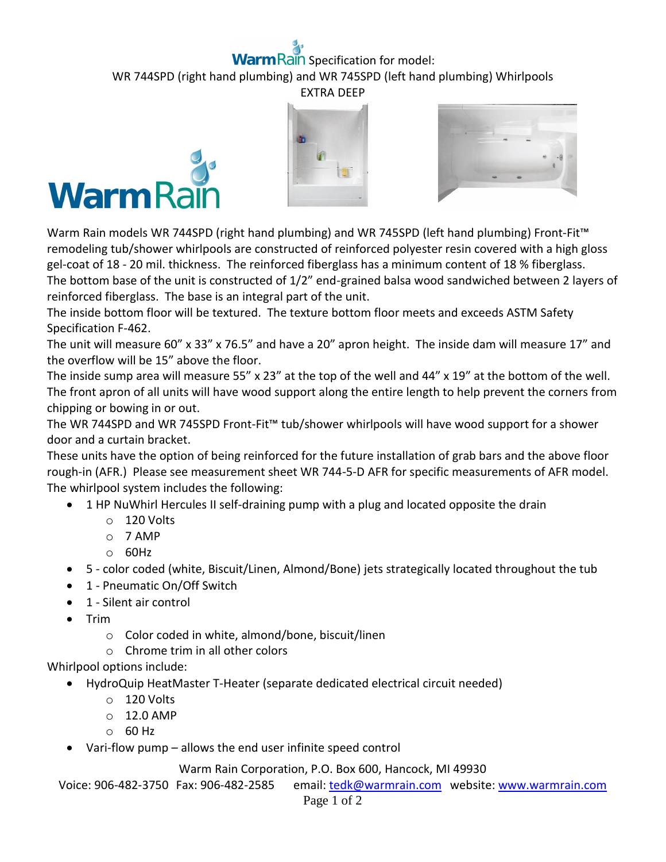## **Rain** Specification for model:

WR 744SPD (right hand plumbing) and WR 745SPD (left hand plumbing) Whirlpools EXTRA DEEP







Warm Rain models WR 744SPD (right hand plumbing) and WR 745SPD (left hand plumbing) Front-Fit™ remodeling tub/shower whirlpools are constructed of reinforced polyester resin covered with a high gloss gel-coat of 18 - 20 mil. thickness. The reinforced fiberglass has a minimum content of 18 % fiberglass. The bottom base of the unit is constructed of 1/2" end-grained balsa wood sandwiched between 2 layers of reinforced fiberglass. The base is an integral part of the unit.

The inside bottom floor will be textured. The texture bottom floor meets and exceeds ASTM Safety Specification F-462.

The unit will measure 60" x 33" x 76.5" and have a 20" apron height. The inside dam will measure 17" and the overflow will be 15" above the floor.

The inside sump area will measure 55" x 23" at the top of the well and 44" x 19" at the bottom of the well. The front apron of all units will have wood support along the entire length to help prevent the corners from chipping or bowing in or out.

The WR 744SPD and WR 745SPD Front-Fit™ tub/shower whirlpools will have wood support for a shower door and a curtain bracket.

These units have the option of being reinforced for the future installation of grab bars and the above floor rough-in (AFR.) Please see measurement sheet WR 744-5-D AFR for specific measurements of AFR model. The whirlpool system includes the following:

- 1 HP NuWhirl Hercules II self-draining pump with a plug and located opposite the drain
	- o 120 Volts
	- o 7 AMP
	- o 60Hz
- 5 color coded (white, Biscuit/Linen, Almond/Bone) jets strategically located throughout the tub
- 1 Pneumatic On/Off Switch
- 1 Silent air control
- $\bullet$  Trim
	- o Color coded in white, almond/bone, biscuit/linen
	- o Chrome trim in all other colors

Whirlpool options include:

- HydroQuip HeatMaster T-Heater (separate dedicated electrical circuit needed)
	- o 120 Volts
	- o 12.0 AMP
	- o 60 Hz
- Vari-flow pump allows the end user infinite speed control

Warm Rain Corporation, P.O. Box 600, Hancock, MI 49930

Voice: 906-482-3750 Fax: 906-482-2585 email[: tedk@warmrain.com](mailto:tedk@warmrain.com) website: [www.warmrain.com](http://www.warmrain.com/)